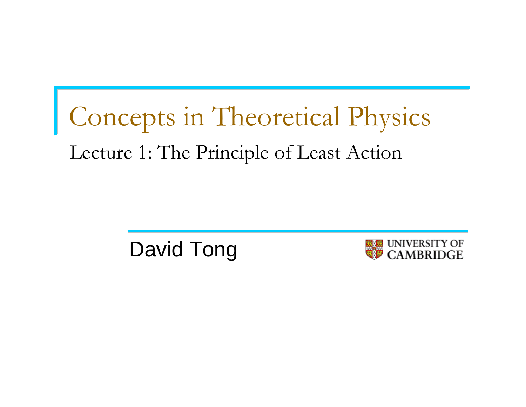# Concepts in Theoretical Physics Lecture 1: The Principle of Least Action

David Tong

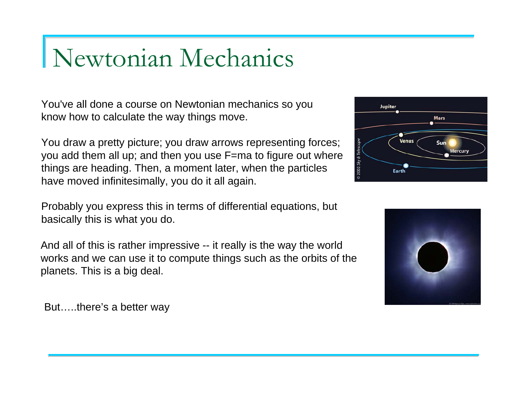### Newtonian Mechanics

You've all done a course on Newtonian mechanics so you know how to calculate the way things move.

You draw a pretty picture; you draw arrows representing forces; you add them all up; and then you use F=ma to figure out where things are heading. Then, a moment later, when the particles have moved infinitesimally, you do it all again.

Probably you express this in terms of differential equations, but basically this is what you do.

And all of this is rather impressive -- it really is the way the world works and we can use it to compute things such as the orbits of the planets. This is a big deal.

But…..there's a better way



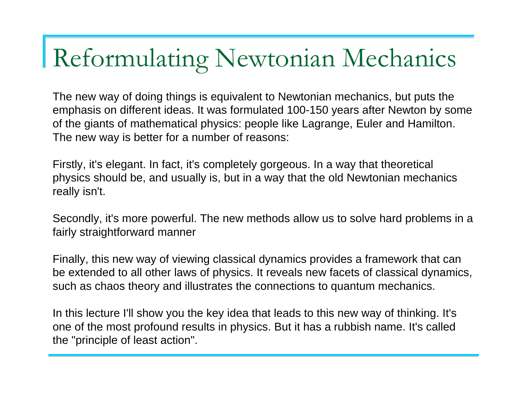### Reformulating Newtonian Mechanics

The new way of doing things is equivalent to Newtonian mechanics, but puts the emphasis on different ideas. It was formulated 100-150 years after Newton by some of the giants of mathematical physics: people like Lagrange, Euler and Hamilton. The new way is better for a number of reasons:

Firstly, it's elegant. In fact, it's completely gorgeous. In a way that theoretical physics should be, and usually is, but in a way that the old Newtonian mechanics really isn't.

Secondly, it's more powerful. The new methods allow us to solve hard problems in a fairly straightforward manner

Finally, this new way of viewing classical dynamics provides a framework that can be extended to all other laws of physics. It reveals new facets of classical dynamics, such as chaos theory and illustrates the connections to quantum mechanics.

In this lecture I'll show you the key idea that leads to this new way of thinking. It's one of the most profound results in physics. But it has a rubbish name. It's called the "principle of least action".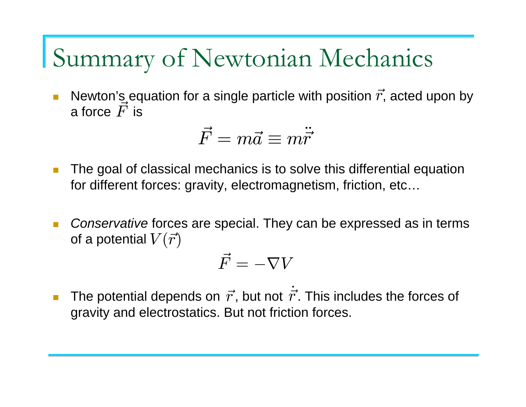#### Summary of Newtonian Mechanics

 $\overline{\phantom{a}}$ **Newton's equation for a single particle with position**  $\vec{r}$ **, acted upon by** a force  $\vec{F}$  is

$$
\vec{F}=m\vec{a}\equiv m\ddot{\vec{r}}
$$

- $\mathcal{L}_{\mathcal{A}}$  The goal of classical mechanics is to solve this differential equation for different forces: gravity, electromagnetism, friction, etc…
- $\mathcal{L}_{\mathcal{A}}$  *Conservative* forces are special. They can be expressed as in terms of a potential  $V(\vec{r})$

$$
\vec{F}=-\nabla V
$$

**T The potential depends on**  $\vec{r}$ **, but not**  $\dot{\vec{r}}$ **. This includes the forces of** gravity and electrostatics. But not friction forces.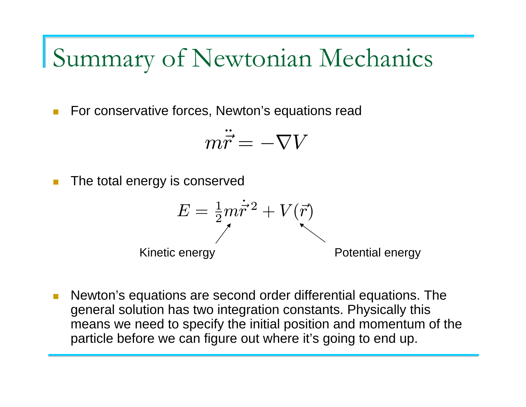Summary of Newtonian Mechanics

 $\blacksquare$ For conservative forces, Newton's equations read

$$
m\ddot{\vec{r}}=-\nabla V
$$

 $\mathcal{C}^{\mathcal{A}}$ The total energy is conserved

$$
E = \frac{1}{2}m\dot{\vec{r}}^2 + V(\vec{r})
$$
  
Kinetic energy  
Potential energy

 $\left\vert \cdot\right\vert$  Newton's equations are second order differential equations. The general solution has two integration constants. Physically this means we need to specify the initial position and momentum of the particle before we can figure out where it's going to end up.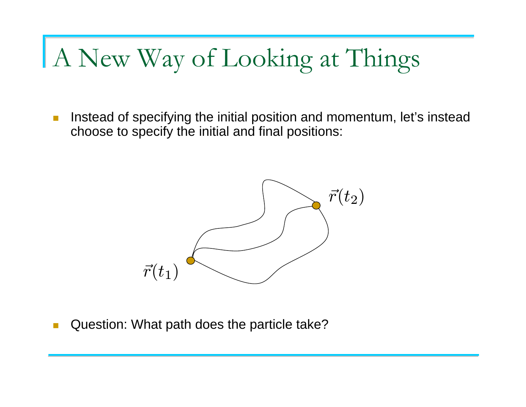### A New Way of Looking at Things

 $\mathcal{L}_{\mathcal{A}}$  Instead of specifying the initial position and momentum, let's instead choose to specify the initial and final positions:



**T** Question: What path does the particle take?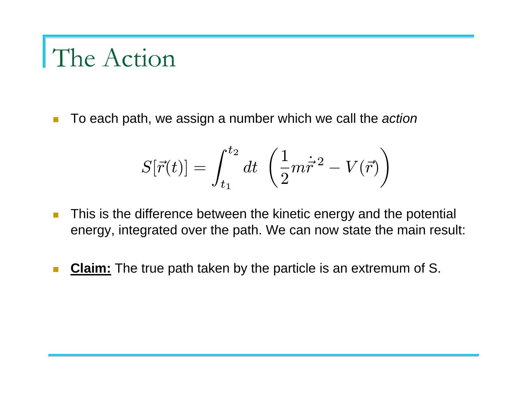### The Action

 $\mathcal{L}_{\mathcal{A}}$ To each path, we assign a number which we call the *action*

$$
S[\vec{r}(t)]=\int_{t_1}^{t_2}dt~\left(\frac{1}{2}m\dot{\vec{r}}^{\,2}-V(\vec{r})\right)
$$

- $\blacksquare$  This is the difference between the kinetic energy and the potential energy, integrated over the path. We can now state the main result:
- $\mathcal{C}^{\mathcal{A}}$ **Claim:** The true path taken by the particle is an extremum of S.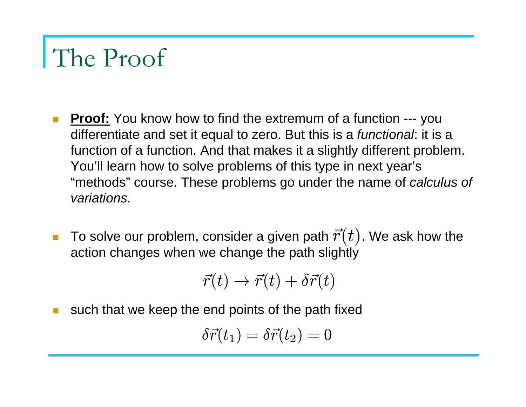### The Proof

- $\blacksquare$ **Proof:** You know how to find the extremum of a function --- you differentiate and set it equal to zero. But this is a *functional*: it is a function of a function. And that makes it a slightly different problem. You'll learn how to solve problems of this type in next year's "methods" course. These problems go under the name of *calculus of variations.*
- $\mathcal{L}_{\text{max}}$ **To solve our problem, consider a given path**  $\vec{r}(t)$ **. We ask how the** action changes when we change the path slightly  $\vec{r}(t)$

$$
\vec{r}(t) \rightarrow \vec{r}(t) + \delta \vec{r}(t)
$$

such that we keep the end points of the path fixed

$$
\delta \vec{r}(t_1) = \delta \vec{r}(t_2) = 0
$$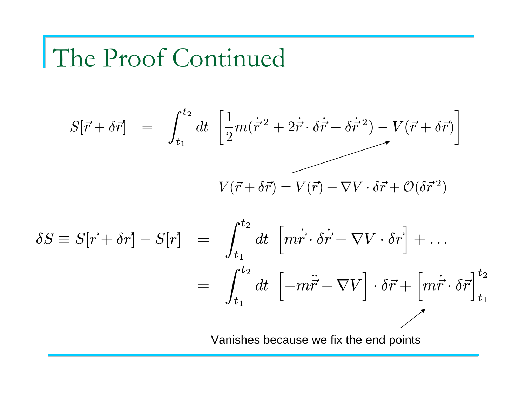## The Proof Continued

$$
S[\vec{r} + \delta \vec{r}] = \int_{t_1}^{t_2} dt \left[ \frac{1}{2} m (\dot{\vec{r}}^2 + 2 \dot{\vec{r}} \cdot \delta \dot{\vec{r}} + \delta \dot{\vec{r}}^2) - V(\vec{r} + \delta \vec{r}) \right]
$$

$$
V(\vec{r} + \delta \vec{r}) = V(\vec{r}) + \nabla V \cdot \delta \vec{r} + \mathcal{O}(\delta \vec{r}^2)
$$

$$
\delta S \equiv S[\vec{r} + \delta \vec{r}] - S[\vec{r}] = \int_{t_1}^{t_2} dt \, \left[ m \dot{\vec{r}} \cdot \delta \dot{\vec{r}} - \nabla V \cdot \delta \vec{r} \right] + \dots
$$

$$
= \int_{t_1}^{t_2} dt \, \left[ -m \ddot{\vec{r}} - \nabla V \right] \cdot \delta \vec{r} + \left[ m \dot{\vec{r}} \cdot \delta \vec{r} \right]_{t_1}^{t_2}
$$

$$
\text{Vanishes because we fix the end points}
$$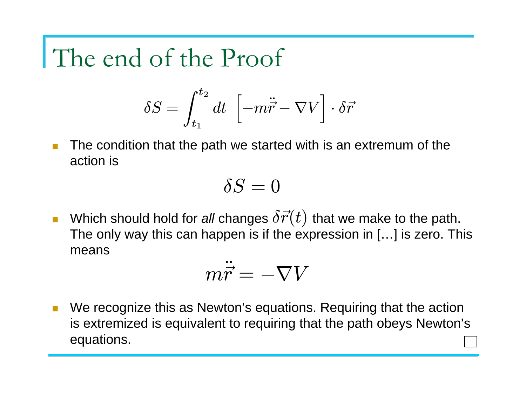### The end of the Proof

$$
\delta S = \int_{t_1}^{t_2} dt \ \left[ -m\ddot{\vec{r}} - \nabla V \right] \cdot \delta \vec{r}
$$

 $\mathcal{L}_{\mathcal{A}}$  The condition that the path we started with is an extremum of the action is

$$
\delta S=0
$$

 $\mathcal{L}_{\mathcal{A}}$ **•** Which should hold for all changes  $\delta \vec{r}(t)$  that we make to the path. The only way this can happen is if the expression in […] is zero. This means

$$
m\ddot{\vec{r}}=-\nabla V
$$

n We recognize this as Newton's equations. Requiring that the action is extremized is equivalent to requiring that the path obeys Newton's equations.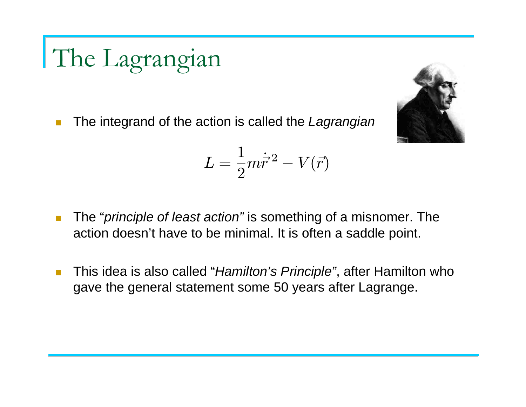The Lagrangian

 $\mathcal{L}_{\mathcal{A}}$ The integrand of the action is called the *Lagrangian*

$$
L=\frac{1}{2}m\dot{\vec{r}}^{\,2}-V(\vec{r})
$$

- $\mathcal{L}_{\mathcal{A}}$  The "*principle of least action"* is something of a misnomer. The action doesn't have to be minimal. It is often a saddle point.
- **I**  This idea is also called "*Hamilton's Principle"*, after Hamilton who gave the general statement some 50 years after Lagrange.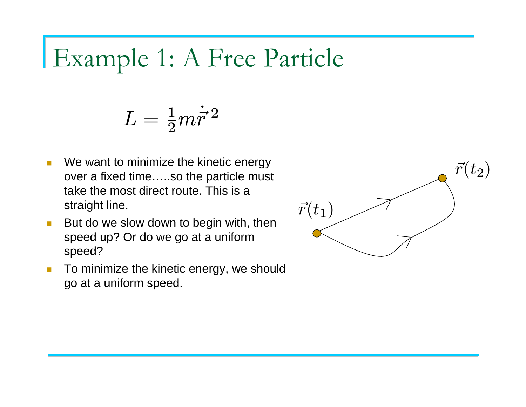#### Example 1: A Free Particle

$$
L = \frac{1}{2}m\dot{\vec{r}}^2
$$

- $\blacksquare$  We want to minimize the kinetic energy over a fixed time…..so the particle must take the most direct route. This is a straight line.
- $\blacksquare$  But do we slow down to begin with, then speed up? Or do we go at a uniform speed?
- $\mathcal{L}_{\mathcal{A}}$  To minimize the kinetic energy, we should go at a uniform speed.

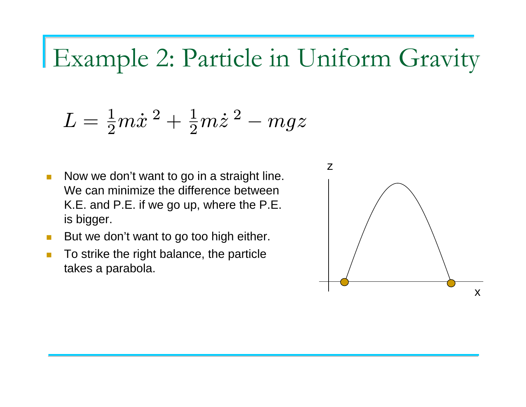### Example 2: Particle in Uniform Gravity

$$
L=\tfrac{1}{2}m\dot{x}^{\,2}+\tfrac{1}{2}m\dot{z}^{\,2}-mgz
$$

- п Now we don't want to go in a straight line. We can minimize the difference between K.E. and P.E. if we go up, where the P.E. is bigger.
- $\blacksquare$ But we don't want to go too high either.
- $\blacksquare$  To strike the right balance, the particle takes a parabola.

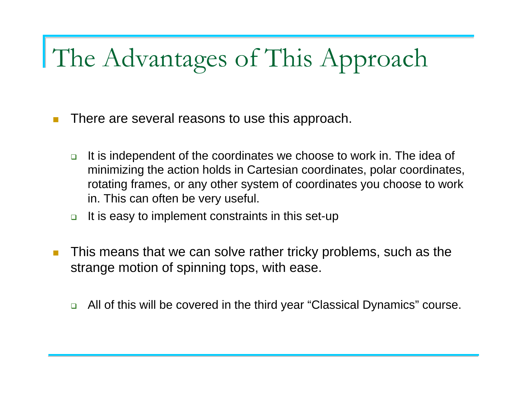## The Advantages of This Approach

- $\mathcal{C}^{\mathcal{A}}$  There are several reasons to use this approach.
	- $\Box$  It is independent of the coordinates we choose to work in. The idea of minimizing the action holds in Cartesian coordinates, polar coordinates, rotating frames, or any other system of coordinates you choose to work in. This can often be very useful.
	- $\Box$ It is easy to implement constraints in this set-up
- $\mathcal{L}_{\mathcal{A}}$  This means that we can solve rather tricky problems, such as the strange motion of spinning tops, with ease.
	- $\Box$ All of this will be covered in the third year "Classical Dynamics" course.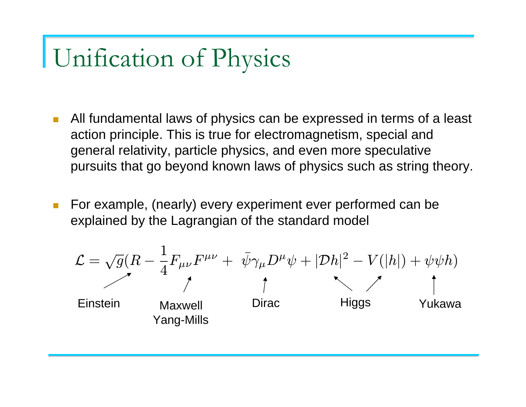## Unification of Physics

- $\mathcal{L}^{\text{max}}$  All fundamental laws of physics can be expressed in terms of a least action principle. This is true for electromagnetism, special and general relativity, particle physics, and even more speculative pursuits that go beyond known laws of physics such as string theory.
- $\mathcal{C}^{\mathcal{A}}$  For example, (nearly) every experiment ever performed can be explained by the Lagrangian of the standard model

$$
\mathcal{L} = \sqrt{g}(R - \frac{1}{4}F_{\mu\nu}F^{\mu\nu} + \bar{\psi}\gamma_{\mu}D^{\mu}\psi + |\mathcal{D}h|^{2} - V(|h|) + \psi\psi h)
$$
  
Enstein  
Yang-Mills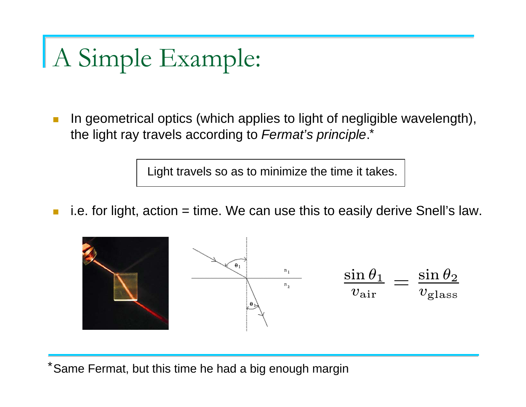## A Simple Example:

 $\mathcal{C}^{\mathcal{A}}$  In geometrical optics (which applies to light of negligible wavelength), the light ray travels according to *Fermat's principle*. \*

Light travels so as to minimize the time it takes.

 $\mathcal{L}_{\mathcal{A}}$ i.e. for light, action  $=$  time. We can use this to easily derive Snell's law.



\*Same Fermat, but this time he had a big enough margin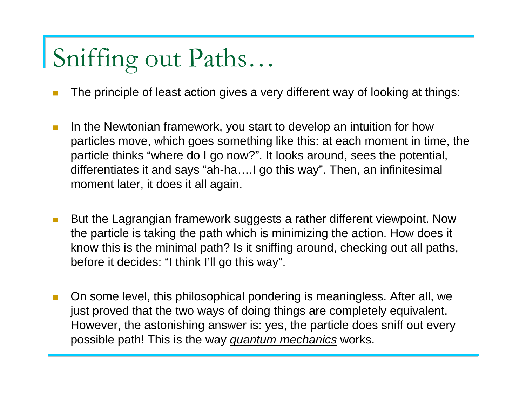## Sniffing out Paths…

- The principle of least action gives a very different way of looking at things:
- $\mathcal{L}_{\mathcal{A}}$  In the Newtonian framework, you start to develop an intuition for how particles move, which goes something like this: at each moment in time, the particle thinks "where do I go now?". It looks around, sees the potential, differentiates it and says "ah-ha….I go this way". Then, an infinitesimal moment later, it does it all again.
- $\mathbb{R}^3$  But the Lagrangian framework suggests a rather different viewpoint. Now the particle is taking the path which is minimizing the action. How does it know this is the minimal path? Is it sniffing around, checking out all paths, before it decides: "I think I'll go this way".
- $\overline{\phantom{a}}$  On some level, this philosophical pondering is meaningless. After all, we just proved that the two ways of doing things are completely equivalent. However, the astonishing answer is: yes, the particle does sniff out every possible path! This is the way *quantum mechanics* works.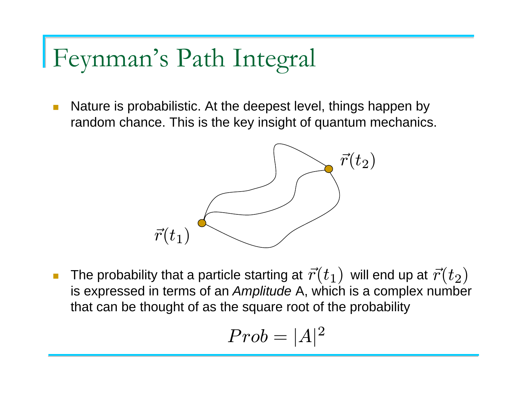## Feynman's Path Integral

 $\mathcal{C}^{\mathcal{A}}$  Nature is probabilistic. At the deepest level, things happen by random chance. This is the key insight of quantum mechanics.



П ■ The probability that a particle starting at  $\vec{r}(t_1)$  will end up at  $\vec{r}(t_2)$ is expressed in terms of an *Amplitude* A, which is a complex number that can be thought of as the square root of the probability

$$
Prob = |A|^2
$$